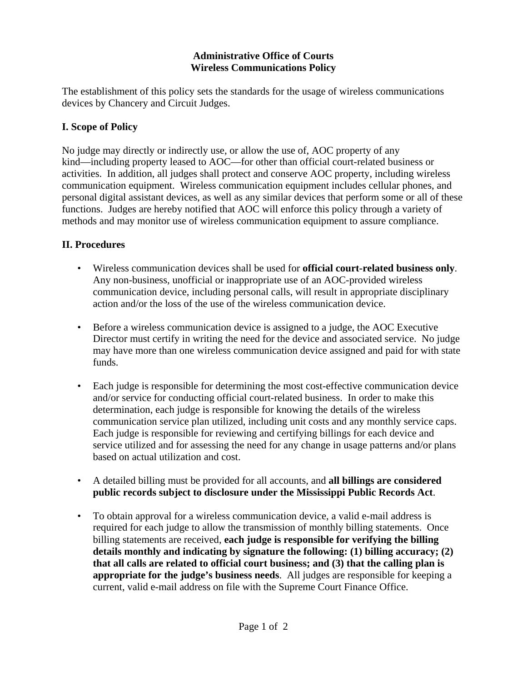## **Administrative Office of Courts Wireless Communications Policy**

The establishment of this policy sets the standards for the usage of wireless communications devices by Chancery and Circuit Judges.

## **I. Scope of Policy**

No judge may directly or indirectly use, or allow the use of, AOC property of any kind—including property leased to AOC—for other than official court-related business or activities. In addition, all judges shall protect and conserve AOC property, including wireless communication equipment. Wireless communication equipment includes cellular phones, and personal digital assistant devices, as well as any similar devices that perform some or all of these functions. Judges are hereby notified that AOC will enforce this policy through a variety of methods and may monitor use of wireless communication equipment to assure compliance.

## **II. Procedures**

- Wireless communication devices shall be used for **official court-related business only**. Any non-business, unofficial or inappropriate use of an AOC-provided wireless communication device, including personal calls, will result in appropriate disciplinary action and/or the loss of the use of the wireless communication device.
- Before a wireless communication device is assigned to a judge, the AOC Executive Director must certify in writing the need for the device and associated service. No judge may have more than one wireless communication device assigned and paid for with state funds.
- Each judge is responsible for determining the most cost-effective communication device and/or service for conducting official court-related business. In order to make this determination, each judge is responsible for knowing the details of the wireless communication service plan utilized, including unit costs and any monthly service caps. Each judge is responsible for reviewing and certifying billings for each device and service utilized and for assessing the need for any change in usage patterns and/or plans based on actual utilization and cost.
- A detailed billing must be provided for all accounts, and **all billings are considered public records subject to disclosure under the Mississippi Public Records Act**.
- To obtain approval for a wireless communication device, a valid e-mail address is required for each judge to allow the transmission of monthly billing statements. Once billing statements are received, **each judge is responsible for verifying the billing details monthly and indicating by signature the following: (1) billing accuracy; (2) that all calls are related to official court business; and (3) that the calling plan is appropriate for the judge's business needs**. All judges are responsible for keeping a current, valid e-mail address on file with the Supreme Court Finance Office.